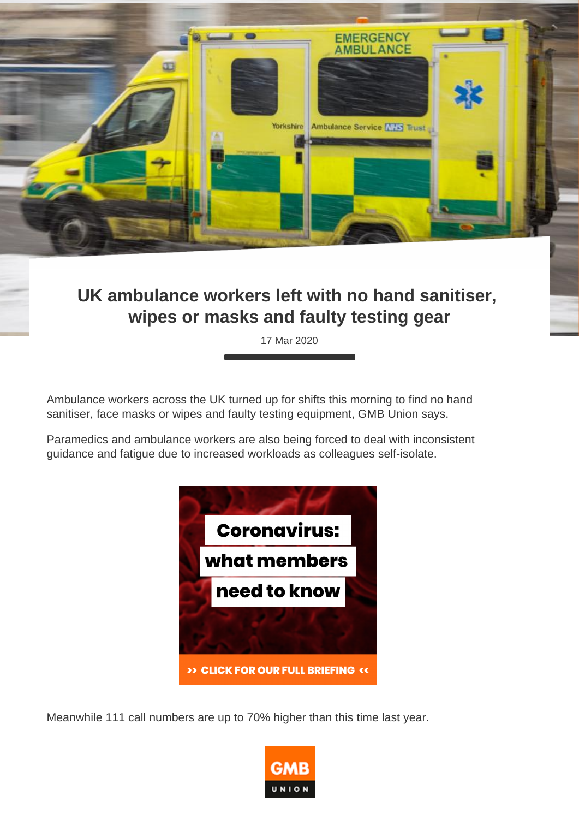## UK ambulance workers left with no hand sanitiser, wipes or masks and faulty testing gear

17 Mar 2020

Ambulance workers across the UK turned up for shifts this morning to find no hand sanitiser, face masks or wipes and faulty testing equipment, GMB Union says.

Paramedics and ambulance workers are also being forced to deal with inconsistent guidance and fatigue due to increased workloads as colleagues self-isolate.

Meanwhile 111 call numbers are up to 70% higher than this time last year.